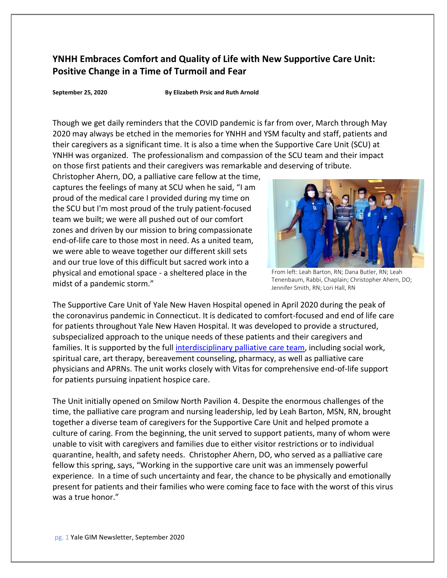## **YNHH Embraces Comfort and Quality of Life with New Supportive Care Unit: Positive Change in a Time of Turmoil and Fear**

**September 25, 2020 By Elizabeth Prsic and Ruth Arnold** 

Though we get daily reminders that the COVID pandemic is far from over, March through May 2020 may always be etched in the memories for YNHH and YSM faculty and staff, patients and their caregivers as a significant time. It is also a time when the Supportive Care Unit (SCU) at YNHH was organized. The professionalism and compassion of the SCU team and their impact on those first patients and their caregivers was remarkable and deserving of tribute.

Christopher Ahern, DO, a palliative care fellow at the time, captures the feelings of many at SCU when he said, "I am proud of the medical care I provided during my time on the SCU but I'm most proud of the truly patient-focused team we built; we were all pushed out of our comfort zones and driven by our mission to bring compassionate end-of-life care to those most in need. As a united team, we were able to weave together our different skill sets and our true love of this difficult but sacred work into a physical and emotional space - a sheltered place in the midst of a pandemic storm."



From left: Leah Barton, RN; Dana Butler, RN; Leah Tenenbaum, Rabbi, Chaplain; Christopher Ahern, DO; Jennifer Smith, RN; Lori Hall, RN

The Supportive Care Unit of Yale New Haven Hospital opened in April 2020 during the peak of the coronavirus pandemic in Connecticut. It is dedicated to comfort-focused and end of life care for patients throughout Yale New Haven Hospital. It was developed to provide a structured, subspecialized approach to the unique needs of these patients and their caregivers and families. It is supported by the full [interdisciplinary palliative](https://www.yalecancercenter.org/patient/specialty/palliative/) care team, including social work, spiritual care, art therapy, bereavement counseling, pharmacy, as well as palliative care physicians and APRNs. The unit works closely with Vitas for comprehensive end-of-life support for patients pursuing inpatient hospice care.

The Unit initially opened on Smilow North Pavilion 4. Despite the enormous challenges of the time, the palliative care program and nursing leadership, led by Leah Barton, MSN, RN, brought together a diverse team of caregivers for the Supportive Care Unit and helped promote a culture of caring. From the beginning, the unit served to support patients, many of whom were unable to visit with caregivers and families due to either visitor restrictions or to individual quarantine, health, and safety needs. Christopher Ahern, DO, who served as a palliative care fellow this spring, says, "Working in the supportive care unit was an immensely powerful experience. In a time of such uncertainty and fear, the chance to be physically and emotionally present for patients and their families who were coming face to face with the worst of this virus was a true honor."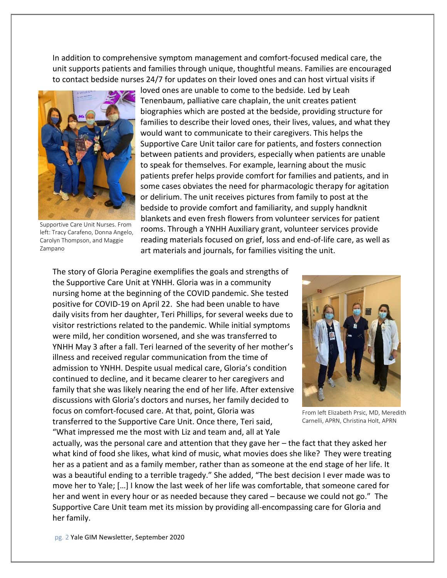In addition to comprehensive symptom management and comfort-focused medical care, the unit supports patients and families through unique, thoughtful means. Families are encouraged to contact bedside nurses 24/7 for updates on their loved ones and can host virtual visits if



Supportive Care Unit Nurses. From left: Tracy Carafeno, Donna Angelo, Carolyn Thompson, and Maggie Zampano

loved ones are unable to come to the bedside. Led by Leah Tenenbaum, palliative care chaplain, the unit creates patient biographies which are posted at the bedside, providing structure for families to describe their loved ones, their lives, values, and what they would want to communicate to their caregivers. This helps the Supportive Care Unit tailor care for patients, and fosters connection between patients and providers, especially when patients are unable to speak for themselves. For example, learning about the music patients prefer helps provide comfort for families and patients, and in some cases obviates the need for pharmacologic therapy for agitation or delirium. The unit receives pictures from family to post at the bedside to provide comfort and familiarity, and supply handknit blankets and even fresh flowers from volunteer services for patient rooms. Through a YNHH Auxiliary grant, volunteer services provide reading materials focused on grief, loss and end-of-life care, as well as art materials and journals, for families visiting the unit.

The story of Gloria Peragine exemplifies the goals and strengths of the Supportive Care Unit at YNHH. Gloria was in a community nursing home at the beginning of the COVID pandemic. She tested positive for COVID-19 on April 22. She had been unable to have daily visits from her daughter, Teri Phillips, for several weeks due to visitor restrictions related to the pandemic. While initial symptoms were mild, her condition worsened, and she was transferred to YNHH May 3 after a fall. Teri learned of the severity of her mother's illness and received regular communication from the time of admission to YNHH. Despite usual medical care, Gloria's condition continued to decline, and it became clearer to her caregivers and family that she was likely nearing the end of her life. After extensive discussions with Gloria's doctors and nurses, her family decided to focus on comfort-focused care. At that, point, Gloria was transferred to the Supportive Care Unit. Once there, Teri said, "What impressed me the most with Liz and team and, all at Yale



From left Elizabeth Prsic, MD, Meredith Carnelli, APRN, Christina Holt, APRN

actually, was the personal care and attention that they gave her – the fact that they asked her what kind of food she likes, what kind of music, what movies does she like? They were treating her as a patient and as a family member, rather than as someone at the end stage of her life. It was a beautiful ending to a terrible tragedy." She added, "The best decision I ever made was to move her to Yale; […] I know the last week of her life was comfortable, that someone cared for her and went in every hour or as needed because they cared – because we could not go." The Supportive Care Unit team met its mission by providing all-encompassing care for Gloria and her family.